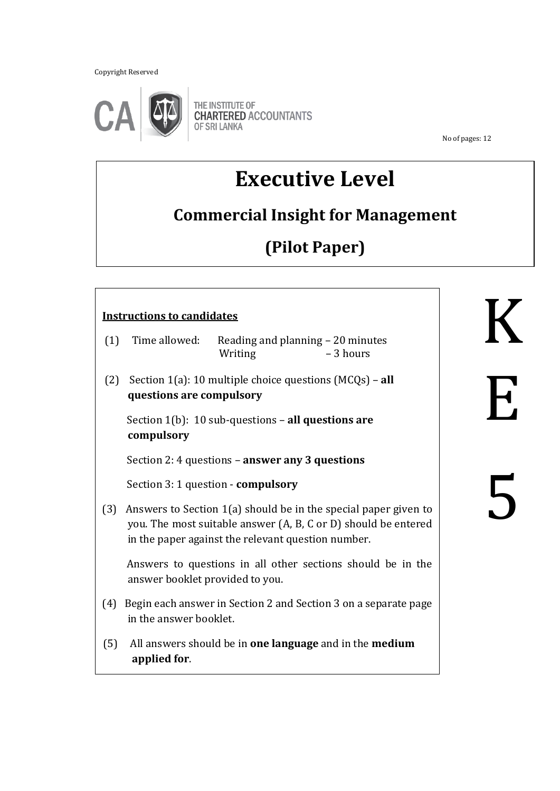Copyright Reserved



THE INSTITUTE OF **CHARTERED ACCOUNTANTS** OF SRI LANKA

No of pages: 12

# **Executive Level**

## **Commercial Insight for Management**

# **(Pilot Paper)**

#### **Instructions to candidates**

- (1) Time allowed: Reading and planning 20 minutes Writing  $-3$  hours
- (2) Section 1(a): 10 multiple choice questions (MCQs) **all questions are compulsory**

 Section 1(b): 10 sub-questions – **all questions are compulsory**

Section 2: 4 questions – **answer any 3 questions**

Section 3: 1 question - **compulsory**

(3) Answers to Section 1(a) should be in the special paper given to you. The most suitable answer (A, B, C or D) should be entered in the paper against the relevant question number.

 Answers to questions in all other sections should be in the answer booklet provided to you.

- (4) Begin each answer in Section 2 and Section 3 on a separate page in the answer booklet.
- (5) All answers should be in **one language** and in the **medium applied for**.

K E 5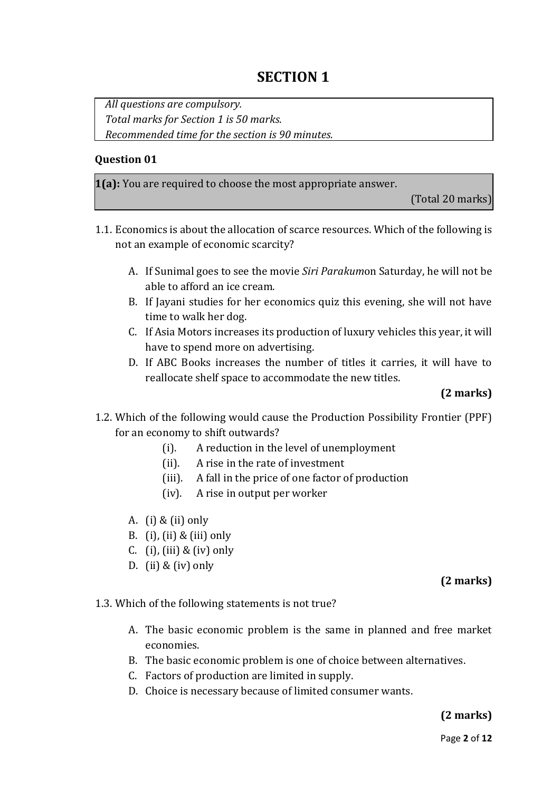## **SECTION 1**

*All questions are compulsory. Total marks for Section 1 is 50 marks. Recommended time for the section is 90 minutes.*

#### **Question 01**

**1(a):** You are required to choose the most appropriate answer.

(Total 20 marks)

- 1.1. Economics is about the allocation of scarce resources. Which of the following is not an example of economic scarcity?
	- A. If Sunimal goes to see the movie *Siri Parakum*on Saturday, he will not be able to afford an ice cream.
	- B. If Jayani studies for her economics quiz this evening, she will not have time to walk her dog.
	- C. If Asia Motors increases its production of luxury vehicles this year, it will have to spend more on advertising.
	- D. If ABC Books increases the number of titles it carries, it will have to reallocate shelf space to accommodate the new titles.

#### **(2 marks)**

- 1.2. Which of the following would cause the Production Possibility Frontier (PPF) for an economy to shift outwards?
	- (i). A reduction in the level of unemployment
	- (ii). A rise in the rate of investment
	- (iii). A fall in the price of one factor of production
	- (iv). A rise in output per worker
	- A. (i) & (ii) only
	- B. (i), (ii) & (iii) only
	- C. (i), (iii) & (iv) only
	- D. (ii)  $&$  (iv) only

#### **(2 marks)**

1.3. Which of the following statements is not true?

- A. The basic economic problem is the same in planned and free market economies.
- B. The basic economic problem is one of choice between alternatives.
- C. Factors of production are limited in supply.
- D. Choice is necessary because of limited consumer wants.

#### **(2 marks)**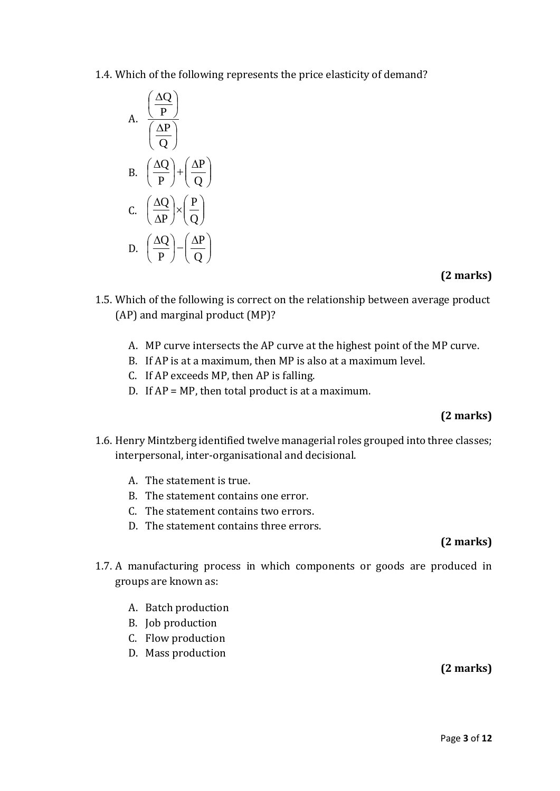1.4. Which of the following represents the price elasticity of demand?

A. 
$$
\frac{\left(\frac{\Delta Q}{P}\right)}{\left(\frac{\Delta P}{Q}\right)}
$$
  
B. 
$$
\left(\frac{\Delta Q}{P}\right) + \left(\frac{\Delta P}{Q}\right)
$$
  
C. 
$$
\left(\frac{\Delta Q}{\Delta P}\right) \times \left(\frac{P}{Q}\right)
$$
  
D. 
$$
\left(\frac{\Delta Q}{P}\right) - \left(\frac{\Delta P}{Q}\right)
$$

#### **(2 marks)**

- 1.5. Which of the following is correct on the relationship between average product (AP) and marginal product (MP)?
	- A. MP curve intersects the AP curve at the highest point of the MP curve.
	- B. If AP is at a maximum, then MP is also at a maximum level.
	- C. If AP exceeds MP, then AP is falling.
	- D. If AP = MP, then total product is at a maximum.

#### **(2 marks)**

- 1.6. Henry Mintzberg identified twelve managerial roles grouped into three classes; interpersonal, inter-organisational and decisional.
	- A. The statement is true.
	- B. The statement contains one error.
	- C. The statement contains two errors.
	- D. The statement contains three errors.

#### **(2 marks)**

- 1.7. A manufacturing process in which components or goods are produced in groups are known as:
	- A. Batch production
	- B. Job production
	- C. Flow production
	- D. Mass production

#### **(2 marks)**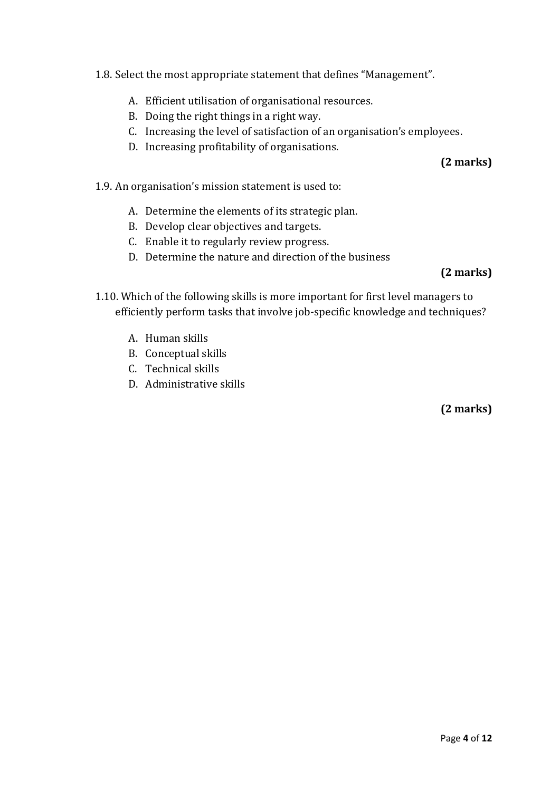- 1.8. Select the most appropriate statement that defines "Management".
	- A. Efficient utilisation of organisational resources.
	- B. Doing the right things in a right way.
	- C. Increasing the level of satisfaction of an organisation's employees.
	- D. Increasing profitability of organisations.

#### **(2 marks)**

- 1.9. An organisation's mission statement is used to:
	- A. Determine the elements of its strategic plan.
	- B. Develop clear objectives and targets.
	- C. Enable it to regularly review progress.
	- D. Determine the nature and direction of the business

#### **(2 marks)**

- 1.10. Which of the following skills is more important for first level managers to efficiently perform tasks that involve job-specific knowledge and techniques?
	- A. Human skills
	- B. Conceptual skills
	- C. Technical skills
	- D. Administrative skills

#### **(2 marks)**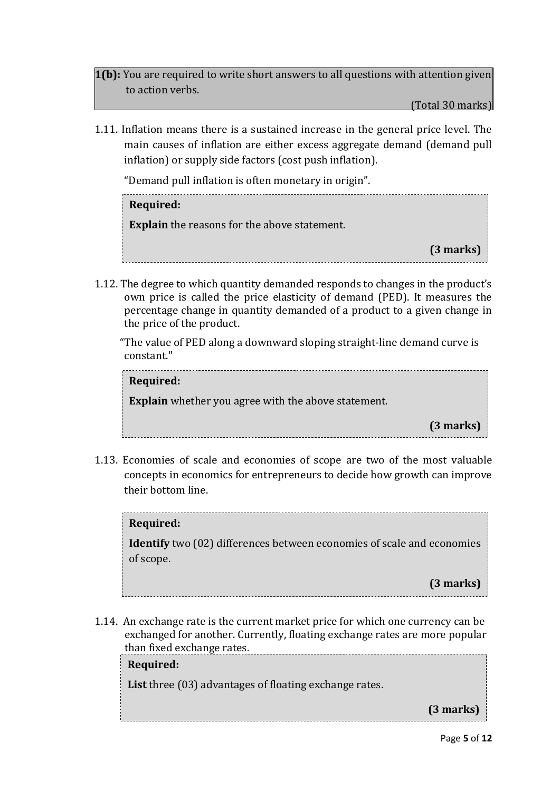**1(b):** You are required to write short answers to all questions with attention given to action verbs.

(Total 30 marks)

1.11. Inflation means there is a sustained increase in the general price level. The main causes of inflation are either excess aggregate demand (demand pull inflation) or supply side factors (cost push inflation).

"Demand pull inflation is often monetary in origin".

| Required:                                           |  |  |  |
|-----------------------------------------------------|--|--|--|
| <b>Explain</b> the reasons for the above statement. |  |  |  |
| (3 marks)                                           |  |  |  |

1.12. The degree to which quantity demanded responds to changes in the product's own price is called the price elasticity of demand (PED). It measures the percentage change in quantity demanded of a product to a given change in the price of the product.

"The value of PED along a downward sloping straight-line demand curve is constant."

# **Required: Explain** whether you agree with the above statement. **(3 marks)**

1.13. Economies of scale and economies of scope are two of the most valuable concepts in economics for entrepreneurs to decide how growth can improve their bottom line.



1.14. An exchange rate is the current market price for which one currency can be exchanged for another. Currently, floating exchange rates are more popular than fixed exchange rates.

## **Required:**

**List** three (03) advantages of floating exchange rates.

**(3 marks)**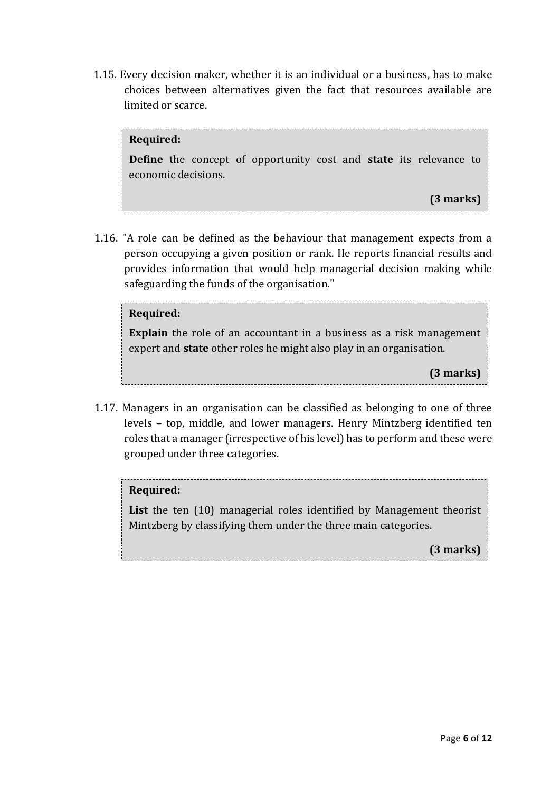1.15. Every decision maker, whether it is an individual or a business, has to make choices between alternatives given the fact that resources available are limited or scarce.

## **Required: Define** the concept of opportunity cost and **state** its relevance to economic decisions. **(3 marks)**

1.16. "A role can be defined as the behaviour that management expects from a person occupying a given position or rank. He reports financial results and provides information that would help managerial decision making while safeguarding the funds of the organisation."

#### **Required:**

**Explain** the role of an accountant in a business as a risk management expert and **state** other roles he might also play in an organisation.

**(3 marks)**

1.17. Managers in an organisation can be classified as belonging to one of three levels – top, middle, and lower managers. Henry Mintzberg identified ten roles that a manager (irrespective of his level) has to perform and these were grouped under three categories.

#### **Required:**

List the ten (10) managerial roles identified by Management theorist Mintzberg by classifying them under the three main categories.

**(3 marks)**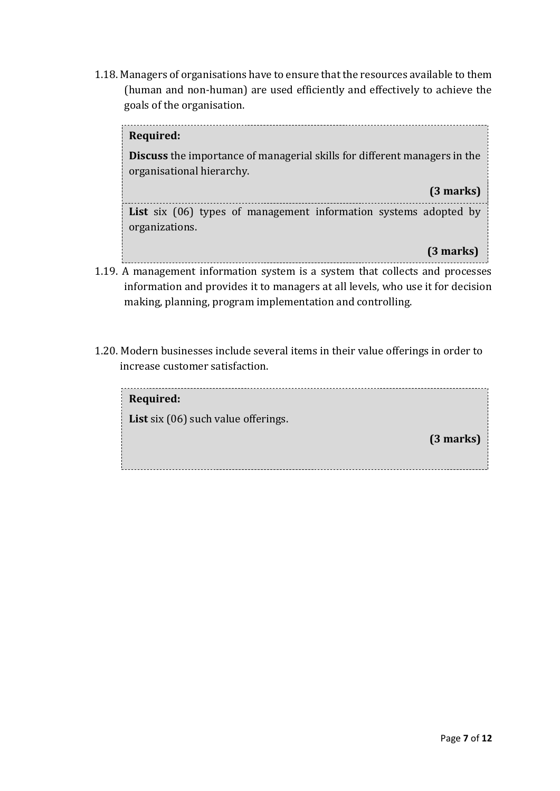1.18. Managers of organisations have to ensure that the resources available to them (human and non-human) are used efficiently and effectively to achieve the goals of the organisation.

#### **Required:**

**Discuss** the importance of managerial skills for different managers in the organisational hierarchy.

**(3 marks)**

List six (06) types of management information systems adopted by organizations.

## **(3 marks)**

- 1.19. A management information system is a system that collects and processes information and provides it to managers at all levels, who use it for decision making, planning, program implementation and controlling.
- 1.20. Modern businesses include several items in their value offerings in order to increase customer satisfaction.

| Required:                                  |
|--------------------------------------------|
| <b>List</b> six (06) such value offerings. |
| (3 marks)                                  |
|                                            |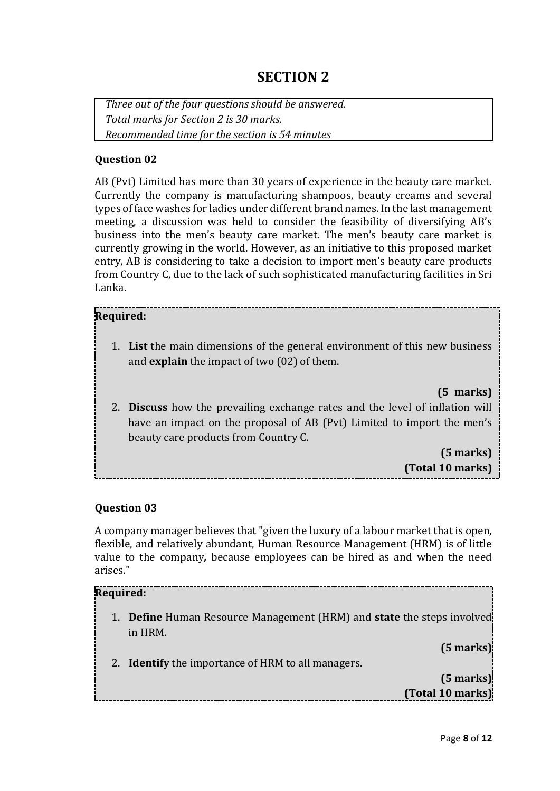## **SECTION 2**

*Three out of the four questions should be answered. Total marks for Section 2 is 30 marks. Recommended time for the section is 54 minutes*

#### **Question 02**

AB (Pvt) Limited has more than 30 years of experience in the beauty care market. Currently the company is manufacturing shampoos, beauty creams and several types of face washes for ladies under different brand names. In the last management meeting, a discussion was held to consider the feasibility of diversifying AB's business into the men's beauty care market. The men's beauty care market is currently growing in the world. However, as an initiative to this proposed market entry, AB is considering to take a decision to import men's beauty care products from Country C, due to the lack of such sophisticated manufacturing facilities in Sri Lanka.

#### **Required:**

1. **List** the main dimensions of the general environment of this new business and **explain** the impact of two (02) of them.

**(5 marks)**

2. **Discuss** how the prevailing exchange rates and the level of inflation will have an impact on the proposal of AB (Pvt) Limited to import the men's beauty care products from Country C.

> **(5 marks) (Total 10 marks)**

#### **Question 03**

A company manager believes that "given the luxury of a labour market that is open, flexible, and relatively abundant, Human Resource Management (HRM) is of little value to the company*,* because employees can be hired as and when the need arises."

#### **Required:**

1. **Define** Human Resource Management (HRM) and **state** the steps involved in HRM.

**(5 marks)**

2. **Identify** the importance of HRM to all managers.

**(5 marks) (Total 10 marks)**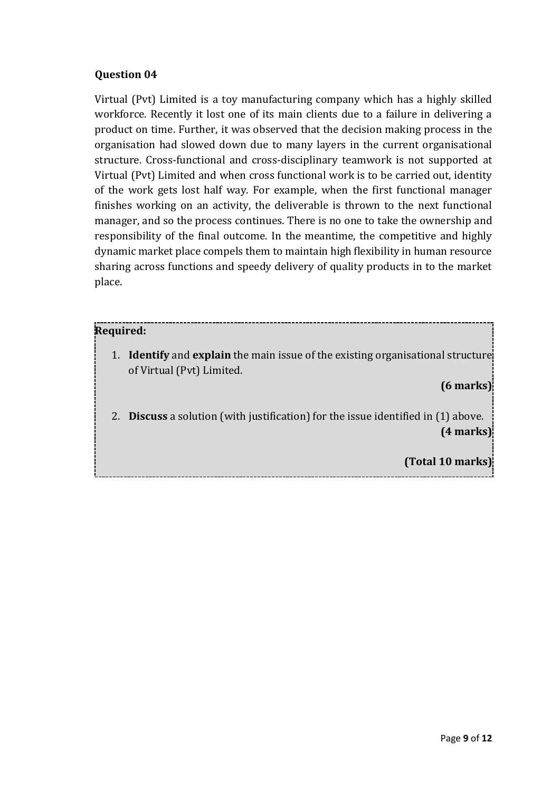#### **Question 04**

Virtual (Pvt) Limited is a toy manufacturing company which has a highly skilled workforce. Recently it lost one of its main clients due to a failure in delivering a product on time. Further, it was observed that the decision making process in the organisation had slowed down due to many layers in the current organisational structure. Cross-functional and cross-disciplinary teamwork is not supported at Virtual (Pvt) Limited and when cross functional work is to be carried out, identity of the work gets lost half way. For example, when the first functional manager finishes working on an activity, the deliverable is thrown to the next functional manager, and so the process continues. There is no one to take the ownership and responsibility of the final outcome. In the meantime, the competitive and highly dynamic market place compels them to maintain high flexibility in human resource sharing across functions and speedy delivery of quality products in to the market place.

#### **Required:**

1. **Identify** and **explain** the main issue of the existing organisational structure of Virtual (Pvt) Limited.

**(6 marks)**

2. **Discuss** a solution (with justification) for the issue identified in (1) above. **(4 marks)**

**(Total 10 marks)**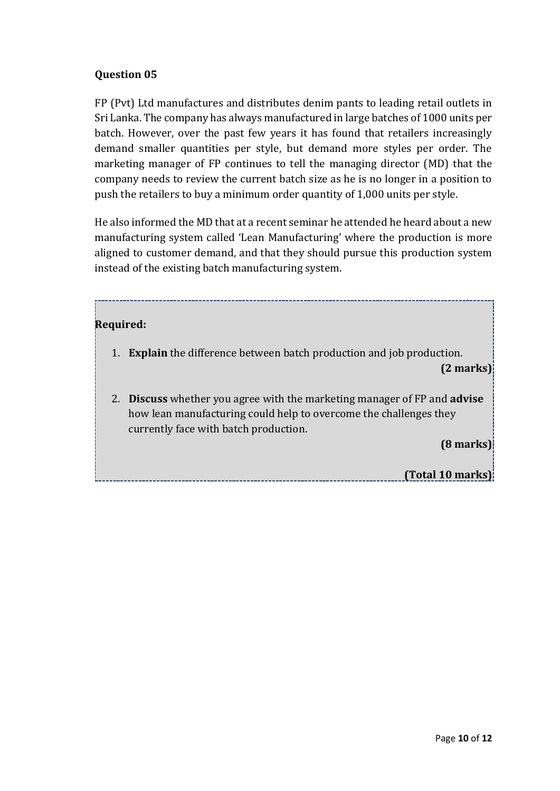#### **Question 05**

FP (Pvt) Ltd manufactures and distributes denim pants to leading retail outlets in Sri Lanka. The company has always manufactured in large batches of 1000 units per batch. However, over the past few years it has found that retailers increasingly demand smaller quantities per style, but demand more styles per order. The marketing manager of FP continues to tell the managing director (MD) that the company needs to review the current batch size as he is no longer in a position to push the retailers to buy a minimum order quantity of 1,000 units per style.

He also informed the MD that at a recent seminar he attended he heard about a new manufacturing system called 'Lean Manufacturing' where the production is more aligned to customer demand, and that they should pursue this production system instead of the existing batch manufacturing system.

#### **Required:**

- 1. **Explain** the difference between batch production and job production. **(2 marks)**
- 2. **Discuss** whether you agree with the marketing manager of FP and **advise** how lean manufacturing could help to overcome the challenges they currently face with batch production.

**(8 marks)**

**(Total 10 marks)**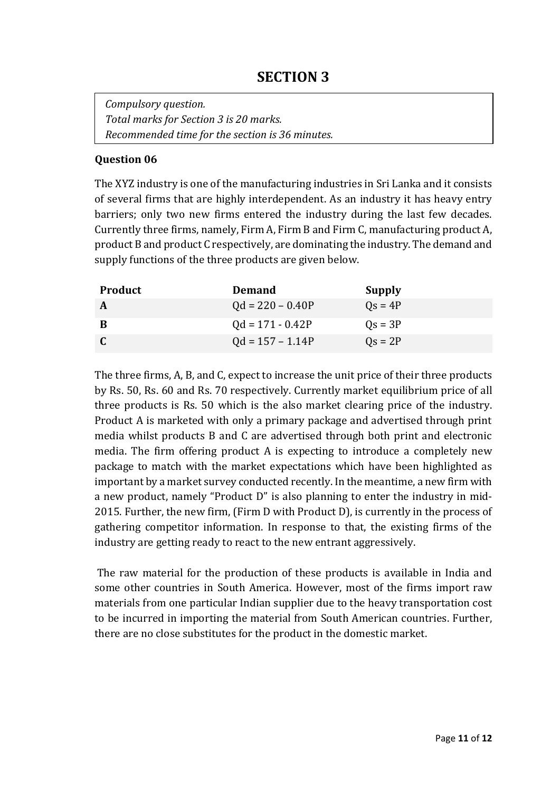## **SECTION 3**

*Compulsory question. Total marks for Section 3 is 20 marks. Recommended time for the section is 36 minutes.*

#### **Question 06**

The XYZ industry is one of the manufacturing industries in Sri Lanka and it consists of several firms that are highly interdependent. As an industry it has heavy entry barriers; only two new firms entered the industry during the last few decades. Currently three firms, namely, Firm A, Firm B and Firm C, manufacturing product A, product B and product C respectively, are dominating the industry. The demand and supply functions of the three products are given below.

| <b>Product</b> | <b>Demand</b>      | Supply    |
|----------------|--------------------|-----------|
| A              | $Qd = 220 - 0.40P$ | $Qs = 4P$ |
| B              | $Qd = 171 - 0.42P$ | $Qs = 3P$ |
|                | $Qd = 157 - 1.14P$ | $Qs = 2P$ |

The three firms, A, B, and C, expect to increase the unit price of their three products by Rs. 50, Rs. 60 and Rs. 70 respectively. Currently market equilibrium price of all three products is Rs. 50 which is the also market clearing price of the industry. Product A is marketed with only a primary package and advertised through print media whilst products B and C are advertised through both print and electronic media. The firm offering product A is expecting to introduce a completely new package to match with the market expectations which have been highlighted as important by a market survey conducted recently. In the meantime, a new firm with a new product, namely "Product D" is also planning to enter the industry in mid-2015. Further, the new firm, (Firm D with Product D), is currently in the process of gathering competitor information. In response to that, the existing firms of the industry are getting ready to react to the new entrant aggressively.

The raw material for the production of these products is available in India and some other countries in South America. However, most of the firms import raw materials from one particular Indian supplier due to the heavy transportation cost to be incurred in importing the material from South American countries. Further, there are no close substitutes for the product in the domestic market.